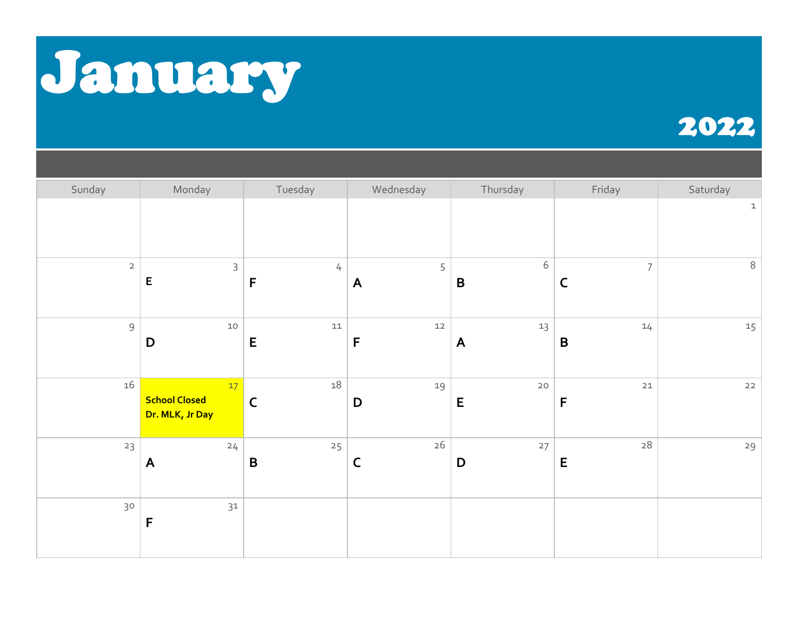

## 2022

| Sunday         | Monday                                        | Tuesday                | Wednesday             | Thursday                   | Friday                        | Saturday    |
|----------------|-----------------------------------------------|------------------------|-----------------------|----------------------------|-------------------------------|-------------|
|                |                                               |                        |                       |                            |                               | $\mathbf 1$ |
| $\overline{2}$ | $\mathsf{3}$<br>$\mathsf E$                   | $\frac{1}{2}$<br>F     | 5<br>$\boldsymbol{A}$ | $\sqrt{6}$<br>$\, {\bf B}$ | $\overline{7}$<br>$\mathsf C$ | $\,8\,$     |
| $\mathsf 9$    | $10$<br>$\mathbf D$                           | $11\,$<br>$\mathsf E$  | $12$<br>F             | 13<br>$\mathsf{A}$         | 14<br>$\, {\bf B}$            | 15          |
| 16             | 17<br><b>School Closed</b><br>Dr. MLK, Jr Day | $18\,$<br>$\mathsf{C}$ | 19<br>D               | $20$<br>$\mathsf E$        | $21$<br>$\mathsf F$           | $22$        |
| 23             | 24<br>$\mathsf{A}$                            | 25<br>$\mathbf B$      | $26\,$<br>$\mathsf C$ | $27\,$<br>D                | $28\,$<br>E                   | 29          |
| 30             | $31$<br>F                                     |                        |                       |                            |                               |             |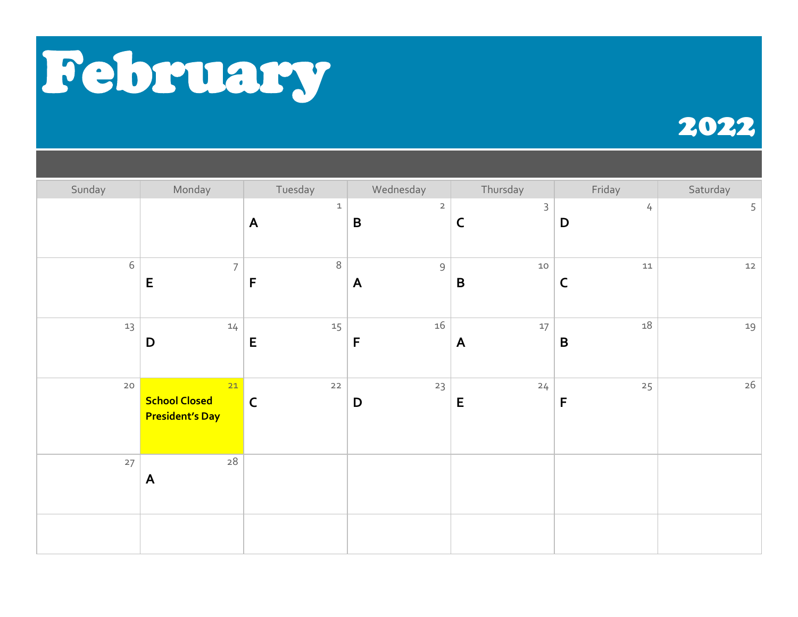

## 2022

| Sunday | Monday                                               | Tuesday                         | Wednesday                     | Thursday                    | Friday                | Saturday |
|--------|------------------------------------------------------|---------------------------------|-------------------------------|-----------------------------|-----------------------|----------|
|        |                                                      | $\mathbf 1$<br>$\boldsymbol{A}$ | $\overline{2}$<br>$\mathbf B$ | $\mathsf 3$<br>$\mathsf{C}$ | 4<br>$\mathbf D$      | 5        |
| $6\,$  | $\overline{7}$<br>$\mathsf E$                        | $\,8\,$<br>$\mathsf F$          | $\mathsf 9$<br>$\mathsf{A}$   | $10$<br>$\pmb B$            | $11\,$<br>$\mathsf C$ | $12\,$   |
| 13     | 14<br>D                                              | 15<br>E                         | 16<br>$\mathsf F$             | $17\,$<br>$\mathsf{A}$      | 18<br>$\pmb B$        | 19       |
| $20$   | 21<br><b>School Closed</b><br><b>President's Day</b> | $22$<br>$\mathsf{C}$            | 23<br>$\mathbf D$             | 24<br>${\sf E}$             | 25<br>F               | $26\,$   |
| 27     | $28\,$<br>$\mathsf{A}$                               |                                 |                               |                             |                       |          |
|        |                                                      |                                 |                               |                             |                       |          |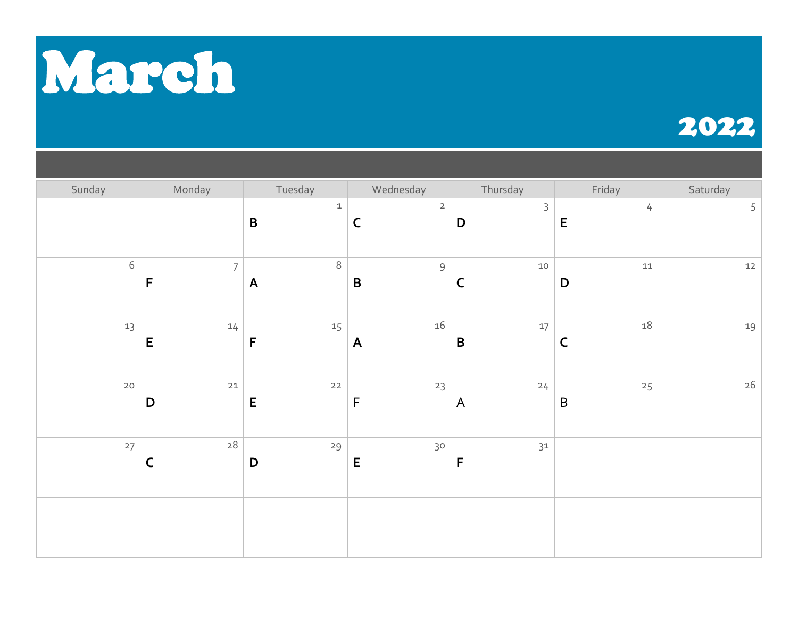

## 2022

| Sunday     | Monday                                  | Tuesday                  | Wednesday                      | Thursday                   | Friday                    | Saturday |
|------------|-----------------------------------------|--------------------------|--------------------------------|----------------------------|---------------------------|----------|
|            |                                         | $\mathbf{1}$<br>$\pmb B$ | $\overline{2}$<br>$\mathsf{C}$ | $\mathsf 3$<br>$\mathsf D$ | $\frac{1}{4}$<br>E        | 5        |
| $\sqrt{6}$ | $\overline{\mathcal{I}}$<br>$\mathsf F$ | $\,8\,$<br>$\mathsf{A}$  | $\mathcal{G}$<br>$\, {\bf B}$  | $10\,$<br>$\mathsf{C}$     | ${\tt 11}$<br>$\mathsf D$ | $12$     |
| $13$       | 14<br>$\mathsf E$                       | 15<br>$\mathsf F$        | $16\,$<br>$\boldsymbol{A}$     | $17\,$<br>$\pmb B$         | 18<br>$\mathsf C$         | 19       |
| $20$       | $21\,$<br>D                             | $22$<br>E                | 23<br>$\mathsf F$              | 24<br>$\overline{A}$       | 25<br>$\sf B$             | $26\,$   |
| 27         | $\rm 28$<br>$\mathsf C$                 | 29<br>$\mathsf D$        | 30<br>${\sf E}$                | $31\,$<br>$\mathsf F$      |                           |          |
|            |                                         |                          |                                |                            |                           |          |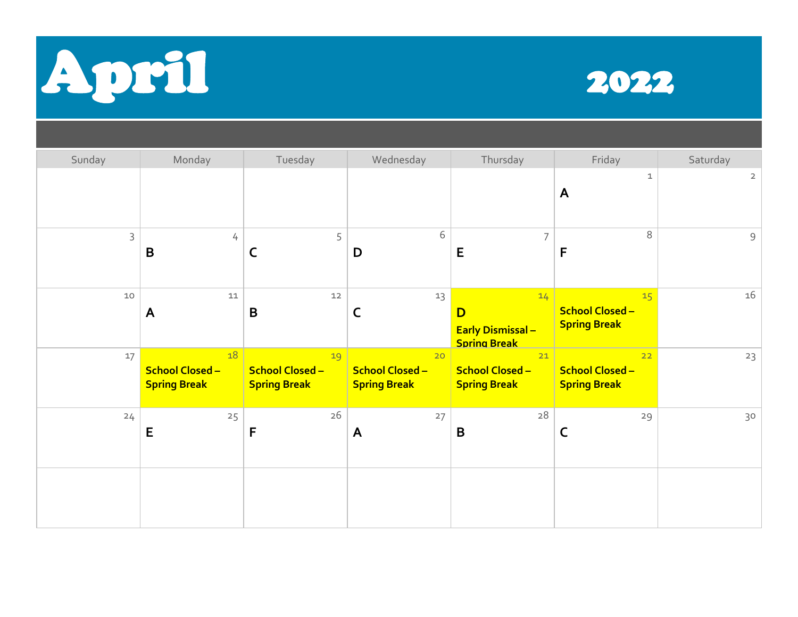



| Sunday       | Monday                                              | Tuesday                                             | Wednesday                                           | Thursday                                                   | Friday                                                           | Saturday       |
|--------------|-----------------------------------------------------|-----------------------------------------------------|-----------------------------------------------------|------------------------------------------------------------|------------------------------------------------------------------|----------------|
|              |                                                     |                                                     |                                                     |                                                            | $\mathbf 1$<br>$\mathsf{A}$                                      | $\overline{2}$ |
| $\mathsf{3}$ | 4<br>B                                              | 5<br>C                                              | 6<br>D                                              | $\overline{7}$<br>E                                        | $\,8\,$<br>F                                                     | $\mathsf{9}$   |
| $10$         | ${\tt 11}$<br>$\mathsf{A}$                          | $12$<br>B                                           | 13<br>C                                             | 14<br>D<br><b>Early Dismissal -</b><br><b>Spring Break</b> | 15 <sup>1</sup><br><b>School Closed -</b><br><b>Spring Break</b> | 16             |
| 17           | 18<br><b>School Closed -</b><br><b>Spring Break</b> | 19<br><b>School Closed -</b><br><b>Spring Break</b> | 20<br><b>School Closed -</b><br><b>Spring Break</b> | 21<br><b>School Closed -</b><br><b>Spring Break</b>        | 22<br><b>School Closed-</b><br><b>Spring Break</b>               | 23             |
| 24           | 25<br>E                                             | 26<br>F                                             | 27<br>A                                             | 28<br>$\mathbf B$                                          | 29<br>$\mathsf C$                                                | 30             |
|              |                                                     |                                                     |                                                     |                                                            |                                                                  |                |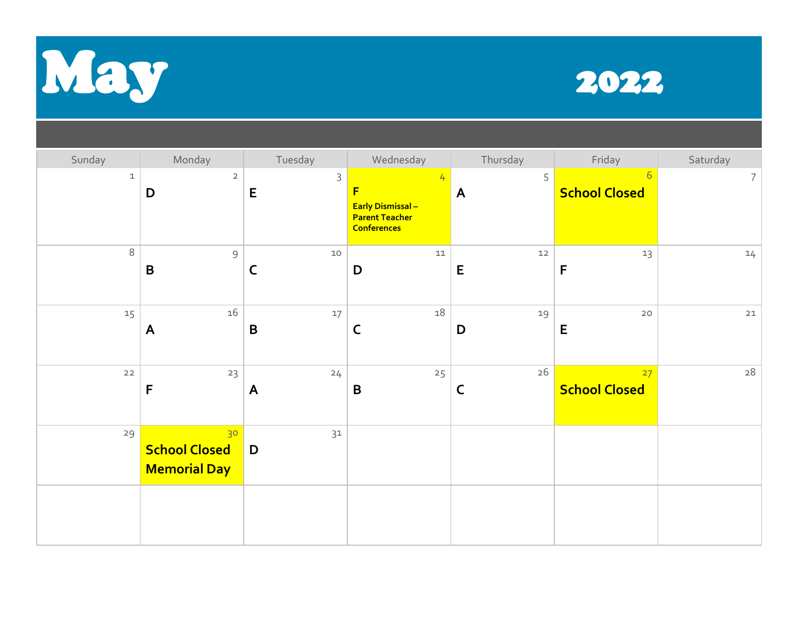



| Sunday      | Monday                                            | Tuesday                       | Wednesday                                                                         | Thursday    | Friday                                  | Saturday        |
|-------------|---------------------------------------------------|-------------------------------|-----------------------------------------------------------------------------------|-------------|-----------------------------------------|-----------------|
| $\mathbf 1$ | $\overline{2}$<br>D                               | 3<br>$\mathsf E$              | 4<br>F<br><b>Early Dismissal -</b><br><b>Parent Teacher</b><br><b>Conferences</b> | 5<br>A      | $6\overline{6}$<br><b>School Closed</b> | $7\overline{ }$ |
| 8           | $\mathsf 9$<br>$\mathbf B$                        | $10$<br>$\mathsf C$           | $11\,$<br>D                                                                       | $12\,$<br>E | 13<br>F                                 | 14              |
| 15          | $16\,$<br>A                                       | 17<br>$\mathbf B$             | 18<br>C                                                                           | 19<br>D     | 20<br>E                                 | $21$            |
| $22$        | 23<br>$\mathsf F$                                 | 24<br>$\mathsf{A}$            | 25<br>$\mathbf B$                                                                 | $26\,$<br>C | 27<br><b>School Closed</b>              | $\sqrt{28}$     |
| 29          | 30<br><b>School Closed</b><br><b>Memorial Day</b> | 31<br>$\overline{\mathsf{D}}$ |                                                                                   |             |                                         |                 |
|             |                                                   |                               |                                                                                   |             |                                         |                 |